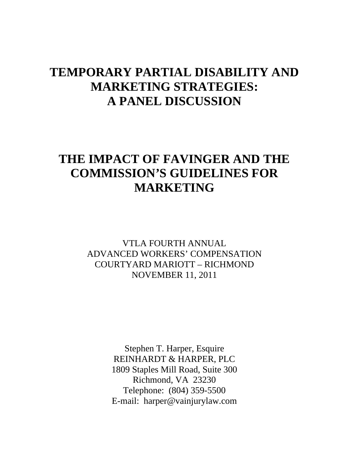## **TEMPORARY PARTIAL DISABILITY AND MARKETING STRATEGIES: A PANEL DISCUSSION**

# **THE IMPACT OF FAVINGER AND THE COMMISSION'S GUIDELINES FOR MARKETING**

VTLA FOURTH ANNUAL ADVANCED WORKERS' COMPENSATION COURTYARD MARIOTT – RICHMOND NOVEMBER 11, 2011

> Stephen T. Harper, Esquire REINHARDT & HARPER, PLC 1809 Staples Mill Road, Suite 300 Richmond, VA 23230 Telephone: (804) 359-5500 E-mail: harper@vainjurylaw.com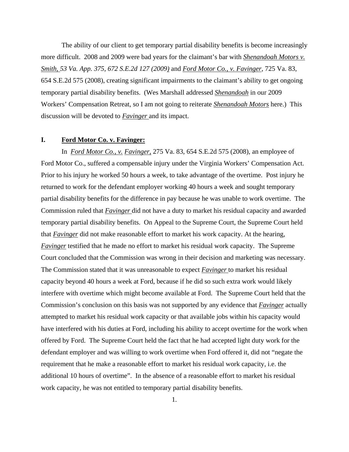The ability of our client to get temporary partial disability benefits is become increasingly more difficult. 2008 and 2009 were bad years for the claimant's bar with *Shenandoah Motors v. Smith, 53 Va. App. 375, 672 S.E.2d 127 (2009)* and *Ford Motor Co., v. Favinger*, 725 Va. 83, 654 S.E.2d 575 (2008), creating significant impairments to the claimant's ability to get ongoing temporary partial disability benefits. (Wes Marshall addressed *Shenandoah* in our 2009 Workers' Compensation Retreat, so I am not going to reiterate *Shenandoah Motors* here.) This discussion will be devoted to *Favinger* and its impact.

#### **I. Ford Motor Co. v. Favinger:**

 In *Ford Motor Co., v. Favinger,* 275 Va. 83, 654 S.E.2d 575 (2008), an employee of Ford Motor Co., suffered a compensable injury under the Virginia Workers' Compensation Act. Prior to his injury he worked 50 hours a week, to take advantage of the overtime. Post injury he returned to work for the defendant employer working 40 hours a week and sought temporary partial disability benefits for the difference in pay because he was unable to work overtime. The Commission ruled that *Favinger* did not have a duty to market his residual capacity and awarded temporary partial disability benefits. On Appeal to the Supreme Court, the Supreme Court held that *Favinger* did not make reasonable effort to market his work capacity. At the hearing, *Favinger* testified that he made no effort to market his residual work capacity. The Supreme Court concluded that the Commission was wrong in their decision and marketing was necessary. The Commission stated that it was unreasonable to expect *Favinger* to market his residual capacity beyond 40 hours a week at Ford, because if he did so such extra work would likely interfere with overtime which might become available at Ford. The Supreme Court held that the Commission's conclusion on this basis was not supported by any evidence that *Favinger* actually attempted to market his residual work capacity or that available jobs within his capacity would have interfered with his duties at Ford, including his ability to accept overtime for the work when offered by Ford. The Supreme Court held the fact that he had accepted light duty work for the defendant employer and was willing to work overtime when Ford offered it, did not "negate the requirement that he make a reasonable effort to market his residual work capacity, i.e. the additional 10 hours of overtime". In the absence of a reasonable effort to market his residual work capacity, he was not entitled to temporary partial disability benefits.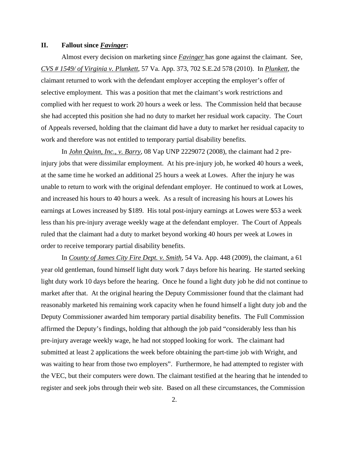#### **II. Fallout since** *Favinger***:**

 Almost every decision on marketing since *Favinger* has gone against the claimant. See, *CVS # 1549/ of Virginia v. Plunkett*, 57 Va. App. 373, 702 S.E.2d 578 (2010). In *Plunkett*, the claimant returned to work with the defendant employer accepting the employer's offer of selective employment. This was a position that met the claimant's work restrictions and complied with her request to work 20 hours a week or less. The Commission held that because she had accepted this position she had no duty to market her residual work capacity. The Court of Appeals reversed, holding that the claimant did have a duty to market her residual capacity to work and therefore was not entitled to temporary partial disability benefits.

 In *John Quinn, Inc., v. Barry*, 08 Vap UNP 2229072 (2008), the claimant had 2 preinjury jobs that were dissimilar employment. At his pre-injury job, he worked 40 hours a week, at the same time he worked an additional 25 hours a week at Lowes. After the injury he was unable to return to work with the original defendant employer. He continued to work at Lowes, and increased his hours to 40 hours a week. As a result of increasing his hours at Lowes his earnings at Lowes increased by \$189. His total post-injury earnings at Lowes were \$53 a week less than his pre-injury average weekly wage at the defendant employer. The Court of Appeals ruled that the claimant had a duty to market beyond working 40 hours per week at Lowes in order to receive temporary partial disability benefits.

 In *County of James City Fire Dept. v. Smith*, 54 Va. App. 448 (2009), the claimant, a 61 year old gentleman, found himself light duty work 7 days before his hearing. He started seeking light duty work 10 days before the hearing. Once he found a light duty job he did not continue to market after that. At the original hearing the Deputy Commissioner found that the claimant had reasonably marketed his remaining work capacity when he found himself a light duty job and the Deputy Commissioner awarded him temporary partial disability benefits. The Full Commission affirmed the Deputy's findings, holding that although the job paid "considerably less than his pre-injury average weekly wage, he had not stopped looking for work. The claimant had submitted at least 2 applications the week before obtaining the part-time job with Wright, and was waiting to hear from those two employers". Furthermore, he had attempted to register with the VEC, but their computers were down. The claimant testified at the hearing that he intended to register and seek jobs through their web site. Based on all these circumstances, the Commission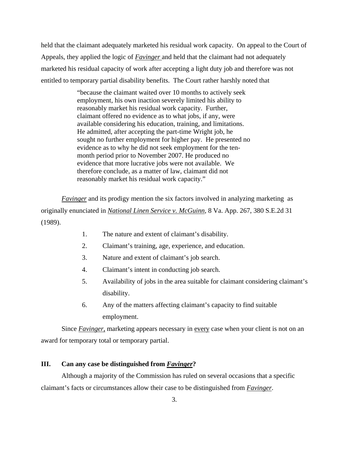held that the claimant adequately marketed his residual work capacity. On appeal to the Court of Appeals, they applied the logic of *Favinger* and held that the claimant had not adequately marketed his residual capacity of work after accepting a light duty job and therefore was not entitled to temporary partial disability benefits. The Court rather harshly noted that

> "because the claimant waited over 10 months to actively seek employment, his own inaction severely limited his ability to reasonably market his residual work capacity. Further, claimant offered no evidence as to what jobs, if any, were available considering his education, training, and limitations. He admitted, after accepting the part-time Wright job, he sought no further employment for higher pay. He presented no evidence as to why he did not seek employment for the tenmonth period prior to November 2007. He produced no evidence that more lucrative jobs were not available. We therefore conclude, as a matter of law, claimant did not reasonably market his residual work capacity."

*Favinger* and its prodigy mention the six factors involved in analyzing marketing as originally enunciated in *National Linen Service v. McGuinn*, 8 Va. App. 267, 380 S.E.2d 31 (1989).

- 1. The nature and extent of claimant's disability.
- 2. Claimant's training, age, experience, and education.
- 3. Nature and extent of claimant's job search.
- 4. Claimant's intent in conducting job search.
- 5. Availability of jobs in the area suitable for claimant considering claimant's disability.
- 6. Any of the matters affecting claimant's capacity to find suitable employment.

Since *Favinger*, marketing appears necessary in every case when your client is not on an award for temporary total or temporary partial.

### **III. Can any case be distinguished from** *Favinger***?**

 Although a majority of the Commission has ruled on several occasions that a specific claimant's facts or circumstances allow their case to be distinguished from *Favinger*.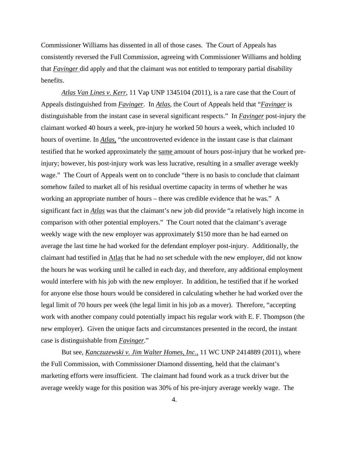Commissioner Williams has dissented in all of those cases. The Court of Appeals has consistently reversed the Full Commission, agreeing with Commissioner Williams and holding that *Favinger* did apply and that the claimant was not entitled to temporary partial disability benefits.

*Atlas Van Lines v. Kerr*, 11 Vap UNP 1345104 (2011), is a rare case that the Court of Appeals distinguished from *Favinger*. In *Atlas*, the Court of Appeals held that "*Favinger* is distinguishable from the instant case in several significant respects." In *Favinger* post-injury the claimant worked 40 hours a week, pre-injury he worked 50 hours a week, which included 10 hours of overtime. In *Atlas,* "the uncontroverted evidence in the instant case is that claimant testified that he worked approximately the same amount of hours post-injury that he worked preinjury; however, his post-injury work was less lucrative, resulting in a smaller average weekly wage." The Court of Appeals went on to conclude "there is no basis to conclude that claimant somehow failed to market all of his residual overtime capacity in terms of whether he was working an appropriate number of hours – there was credible evidence that he was." A significant fact in *Atlas* was that the claimant's new job did provide "a relatively high income in comparison with other potential employers." The Court noted that the claimant's average weekly wage with the new employer was approximately \$150 more than he had earned on average the last time he had worked for the defendant employer post-injury. Additionally, the claimant had testified in Atlas that he had no set schedule with the new employer, did not know the hours he was working until he called in each day, and therefore, any additional employment would interfere with his job with the new employer. In addition, he testified that if he worked for anyone else those hours would be considered in calculating whether he had worked over the legal limit of 70 hours per week (the legal limit in his job as a mover). Therefore, "accepting work with another company could potentially impact his regular work with E. F. Thompson (the new employer). Given the unique facts and circumstances presented in the record, the instant case is distinguishable from *Favinger*."

 But see, *Kanczuzewski v. Jim Walter Homes, Inc.,* 11 WC UNP 2414889 (2011), where the Full Commission, with Commissioner Diamond dissenting, held that the claimant's marketing efforts were insufficient. The claimant had found work as a truck driver but the average weekly wage for this position was 30% of his pre-injury average weekly wage. The

4.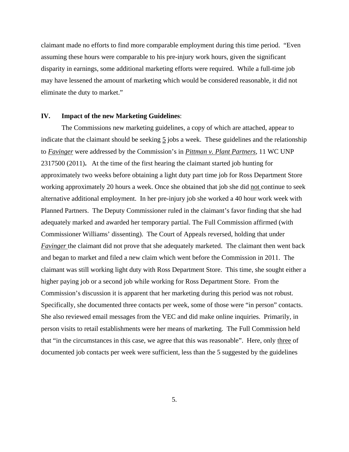claimant made no efforts to find more comparable employment during this time period. "Even assuming these hours were comparable to his pre-injury work hours, given the significant disparity in earnings, some additional marketing efforts were required. While a full-time job may have lessened the amount of marketing which would be considered reasonable, it did not eliminate the duty to market."

#### **IV. Impact of the new Marketing Guidelines**:

 The Commissions new marketing guidelines, a copy of which are attached, appear to indicate that the claimant should be seeking 5 jobs a week. These guidelines and the relationship to *Favinger* were addressed by the Commission's in *Pittman v. Plant Partners*, 11 WC UNP 2317500 (2011)**.** At the time of the first hearing the claimant started job hunting for approximately two weeks before obtaining a light duty part time job for Ross Department Store working approximately 20 hours a week. Once she obtained that job she did not continue to seek alternative additional employment. In her pre-injury job she worked a 40 hour work week with Planned Partners. The Deputy Commissioner ruled in the claimant's favor finding that she had adequately marked and awarded her temporary partial. The Full Commission affirmed (with Commissioner Williams' dissenting). The Court of Appeals reversed, holding that under *Favinger* the claimant did not prove that she adequately marketed. The claimant then went back and began to market and filed a new claim which went before the Commission in 2011. The claimant was still working light duty with Ross Department Store. This time, she sought either a higher paying job or a second job while working for Ross Department Store. From the Commission's discussion it is apparent that her marketing during this period was not robust. Specifically, she documented three contacts per week, some of those were "in person" contacts. She also reviewed email messages from the VEC and did make online inquiries. Primarily, in person visits to retail establishments were her means of marketing. The Full Commission held that "in the circumstances in this case, we agree that this was reasonable". Here, only three of documented job contacts per week were sufficient, less than the 5 suggested by the guidelines

5.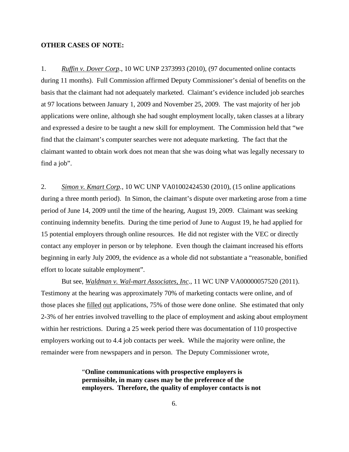#### **OTHER CASES OF NOTE:**

1. *Ruffin v. Dover Corp*., 10 WC UNP 2373993 (2010), (97 documented online contacts during 11 months). Full Commission affirmed Deputy Commissioner's denial of benefits on the basis that the claimant had not adequately marketed. Claimant's evidence included job searches at 97 locations between January 1, 2009 and November 25, 2009. The vast majority of her job applications were online, although she had sought employment locally, taken classes at a library and expressed a desire to be taught a new skill for employment. The Commission held that "we find that the claimant's computer searches were not adequate marketing. The fact that the claimant wanted to obtain work does not mean that she was doing what was legally necessary to find a job".

2. *Simon v. Kmart Corp.,* 10 WC UNP VA01002424530 (2010), (15 online applications during a three month period). In Simon, the claimant's dispute over marketing arose from a time period of June 14, 2009 until the time of the hearing, August 19, 2009. Claimant was seeking continuing indemnity benefits. During the time period of June to August 19, he had applied for 15 potential employers through online resources. He did not register with the VEC or directly contact any employer in person or by telephone. Even though the claimant increased his efforts beginning in early July 2009, the evidence as a whole did not substantiate a "reasonable, bonified effort to locate suitable employment".

 But see, *Waldman v. Wal-mart Associates, Inc*., 11 WC UNP VA00000057520 (2011). Testimony at the hearing was approximately 70% of marketing contacts were online, and of those places she filled out applications, 75% of those were done online. She estimated that only 2-3% of her entries involved travelling to the place of employment and asking about employment within her restrictions. During a 25 week period there was documentation of 110 prospective employers working out to 4.4 job contacts per week. While the majority were online, the remainder were from newspapers and in person. The Deputy Commissioner wrote,

> "**Online communications with prospective employers is permissible, in many cases may be the preference of the employers. Therefore, the quality of employer contacts is not**

> > 6.